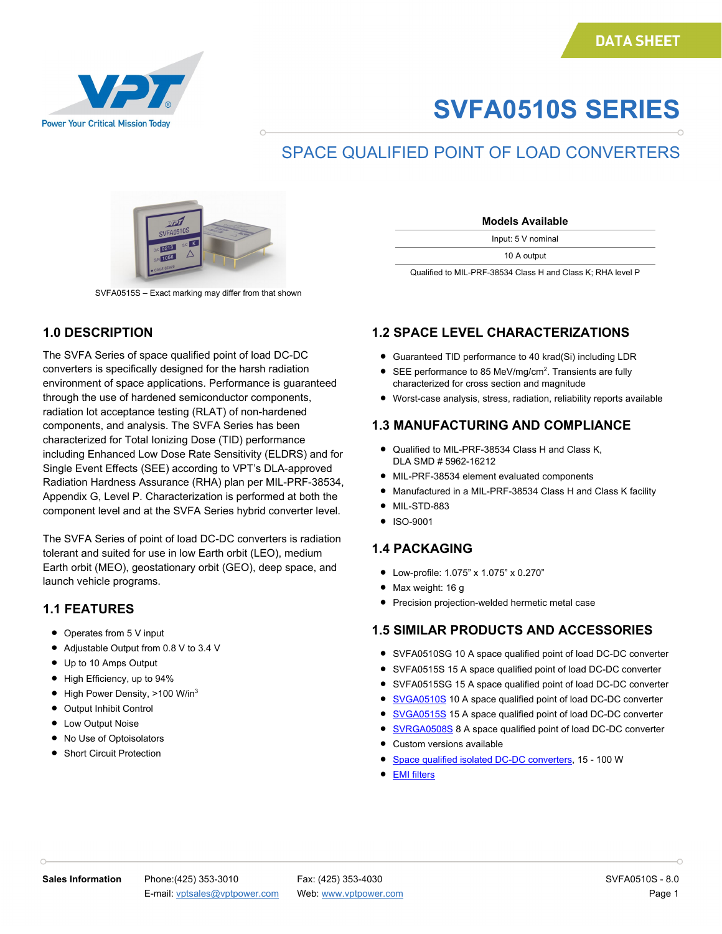

# **SVFA0510S SERIES**

### SPACE QUALIFIED POINT OF LOAD CONVERTERS



SVFA0515S – Exact marking may differ from that shown

#### **1.0 DESCRIPTION**

The SVFA Series of space qualified point of load DC-DC converters is specifically designed for the harsh radiation environment of space applications. Performance is guaranteed through the use of hardened semiconductor components, radiation lot acceptance testing (RLAT) of non-hardened components, and analysis. The SVFA Series has been characterized for Total Ionizing Dose (TID) performance including Enhanced Low Dose Rate Sensitivity (ELDRS) and for Single Event Effects (SEE) according to VPT's DLA-approved Radiation Hardness Assurance (RHA) plan per MIL-PRF-38534, Appendix G, Level P. Characterization is performed at both the component level and at the SVFA Series hybrid converter level.

The SVFA Series of point of load DC-DC converters is radiation tolerant and suited for use in low Earth orbit (LEO), medium Earth orbit (MEO), geostationary orbit (GEO), deep space, and launch vehicle programs.

#### **1.1 FEATURES**

- Operates from 5 V input
- Adjustable Output from 0.8 V to 3.4 V
- Up to 10 Amps Output
- High Efficiency, up to 94%
- High Power Density, >100 W/in<sup>3</sup>
- Output Inhibit Control
- Low Output Noise
- No Use of Optoisolators
- Short Circuit Protection

| <b>Models Available</b> |  |
|-------------------------|--|
| Input: 5 V nominal      |  |
| 10 A output             |  |

Qualified to MIL-PRF-38534 Class H and Class K; RHA level P

### **1.2 SPACE LEVEL CHARACTERIZATIONS**

- Guaranteed TID performance to 40 krad(Si) including LDR
- SEE performance to 85 MeV/mg/cm<sup>2</sup>. Transients are fully characterized for cross section and magnitude
- Worst-case analysis, stress, radiation, reliability reports available

### **1.3 MANUFACTURING AND COMPLIANCE**

- Qualified to MIL-PRF-38534 Class H and Class K, DLA SMD # 5962-16212
- MIL-PRF-38534 element evaluated components
- Manufactured in a MIL-PRF-38534 Class H and Class K facility
- MIL-STD-883
- ISO-9001

### **1.4 PACKAGING**

- Low-profile: 1.075" x 1.075" x 0.270"
- Max weight: 16 g
- Precision projection-welded hermetic metal case

### **1.5 SIMILAR PRODUCTS AND ACCESSORIES**

- SVFA0510SG 10 A space qualified point of load DC-DC converter
- SVFA0515S 15 A space qualified point of load DC-DC converter
- SVFA0515SG 15 A space qualified point of load DC-DC converter
- [SVGA0510S](http://www.vptpower.com/vpt-products/point-of-load-dc-dc-converters/svga-pol-converter) 10 A space qualified point of load DC-DC converter
- [SVGA0515S](http://www.vptpower.com/vpt-products/point-of-load-dc-dc-converters/svga0515s-point-of-load-dc-dc-converter) 15 A space qualified point of load DC-DC converter
- [SVRGA0508S](http://www.vptpower.com/vpt-products/point-of-load-dc-dc-converters/svrga0508s-point-of-load-converter/) 8 A space qualified point of load DC-DC converter
- Custom versions available
- [Space qualified isolated DC-DC converters,](http://www.vptpower.com/vpt-products/space-grade-dc-dc-converters/) 15 100 W
- **EMI** filters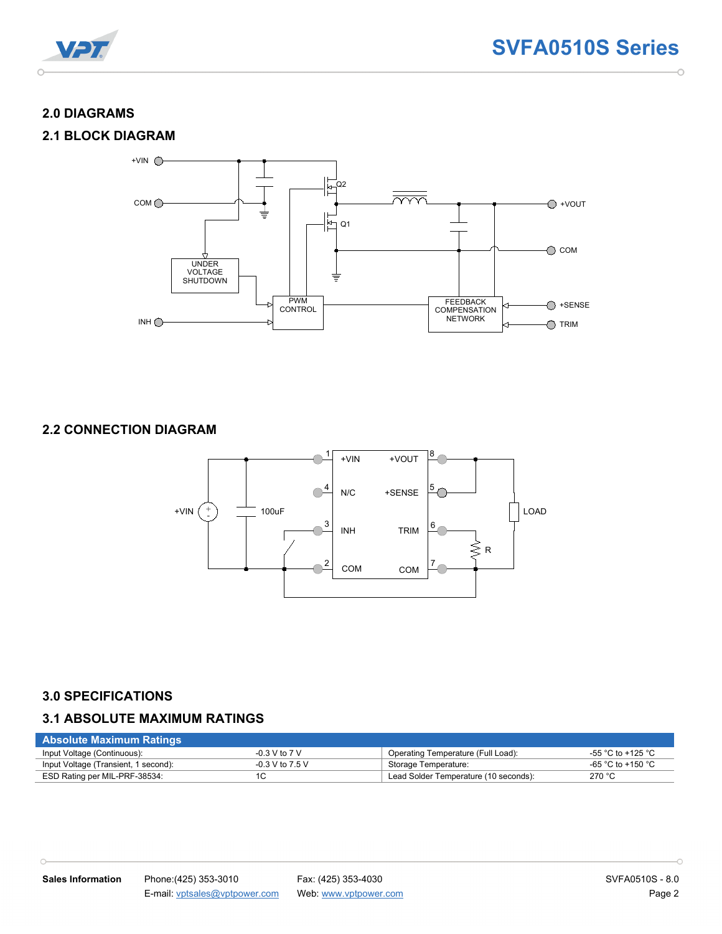

#### **2.0 DIAGRAMS**

#### **2.1 BLOCK DIAGRAM**



#### **2.2 CONNECTION DIAGRAM**



#### **3.0 SPECIFICATIONS**

 $\cap$ 

#### **3.1 ABSOLUTE MAXIMUM RATINGS**

| <b>Absolute Maximum Ratings</b>      |                   |                                       |                   |
|--------------------------------------|-------------------|---------------------------------------|-------------------|
| Input Voltage (Continuous):          | -0.3 V to 7 V     | Operating Temperature (Full Load):    | -55 °C to +125 °C |
| Input Voltage (Transient, 1 second): | $-0.3$ V to 7.5 V | Storage Temperature:                  | -65 °C to +150 °C |
| ESD Rating per MIL-PRF-38534:        | 1C                | Lead Solder Temperature (10 seconds): | 270 °C            |

 $\overline{\phantom{0}}$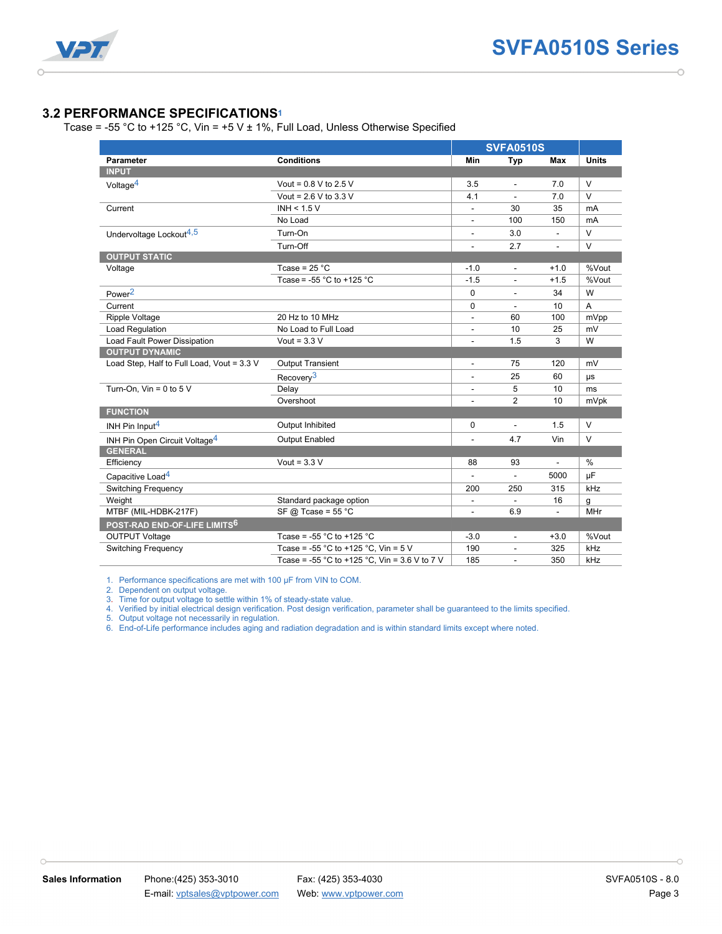

#### **3.2 PERFORMANCE SPECIFICATIONS1**

Tcase = -55 °C to +125 °C, Vin = +5 V  $\pm$  1%, Full Load, Unless Otherwise Specified

|                                            |                                                         | <b>SVFA0510S</b>         |                |                |               |
|--------------------------------------------|---------------------------------------------------------|--------------------------|----------------|----------------|---------------|
| <b>Parameter</b>                           | <b>Conditions</b>                                       | <b>Min</b>               | Typ            | <b>Max</b>     | <b>Units</b>  |
| <b>INPUT</b>                               |                                                         |                          |                |                |               |
| Voltage <sup>4</sup>                       | Vout = $0.8$ V to 2.5 V                                 | 3.5                      |                | 7.0            | $\vee$        |
|                                            | Vout = $2.6$ V to $3.3$ V                               | 4.1                      |                | 7.0            | $\vee$        |
| Current                                    | INH < $1.5V$                                            | $\overline{a}$           | 30             | 35             | mA            |
|                                            | No Load                                                 | $\frac{1}{2}$            | 100            | 150            | mA            |
| Undervoltage Lockout <sup>4,5</sup>        | Turn-On                                                 | $\frac{1}{2}$            | 3.0            | $\blacksquare$ | V             |
|                                            | Turn-Off                                                | L.                       | 2.7            | $\overline{a}$ | $\vee$        |
| <b>OUTPUT STATIC</b>                       |                                                         |                          |                |                |               |
| Voltage                                    | Tcase = $25 °C$                                         | $-1.0$                   | L.             | $+1.0$         | %Vout         |
|                                            | Tcase = $-55$ °C to $+125$ °C                           | $-1.5$                   | $\overline{a}$ | $+1.5$         | %Vout         |
| Power <sup>2</sup>                         |                                                         | $\Omega$                 |                | 34             | W             |
| Current                                    |                                                         | $\mathbf 0$              |                | 10             | A             |
| Ripple Voltage                             | 20 Hz to 10 MHz                                         | $\overline{\phantom{a}}$ | 60             | 100            | mVpp          |
| Load Regulation                            | No Load to Full Load                                    | $\overline{\phantom{a}}$ | 10             | 25             | mV            |
| Load Fault Power Dissipation               | Vout = $3.3$ V                                          | $\frac{1}{2}$            | 1.5            | $\mathcal{R}$  | W             |
| <b>OUTPUT DYNAMIC</b>                      |                                                         |                          |                |                |               |
| Load Step, Half to Full Load, Vout = 3.3 V | <b>Output Transient</b>                                 | $\overline{\phantom{a}}$ | 75             | 120            | mV            |
|                                            | Recovery <sup>3</sup>                                   |                          | 25             | 60             | μs            |
| Turn-On, $V$ in = 0 to 5 $V$               | Delay                                                   |                          | 5              | 10             | ms            |
|                                            | Overshoot                                               |                          | $\overline{2}$ | 10             | mVpk          |
| <b>FUNCTION</b>                            |                                                         |                          |                |                |               |
| INH Pin Input <sup>4</sup>                 | Output Inhibited                                        | 0                        | $\overline{a}$ | 1.5            | $\vee$        |
| INH Pin Open Circuit Voltage <sup>4</sup>  | <b>Output Enabled</b>                                   |                          | 4.7            | Vin            | $\vee$        |
| <b>GENERAL</b>                             |                                                         |                          |                |                |               |
| Efficiency                                 | Vout = $3.3$ V                                          | 88                       | 93             |                | $\frac{0}{0}$ |
| Capacitive Load <sup>4</sup>               |                                                         |                          | ÷.             | 5000           | μF            |
| <b>Switching Frequency</b>                 |                                                         | 200                      | 250            | 315            | kHz           |
| Weight                                     | Standard package option                                 | $\overline{\phantom{a}}$ | $\blacksquare$ | 16             | g             |
| MTBF (MIL-HDBK-217F)                       | SF @ Tcase = $55 °C$                                    | $\frac{1}{2}$            | 6.9            | $\overline{a}$ | <b>MHr</b>    |
| POST-RAD END-OF-LIFE LIMITS <sup>6</sup>   |                                                         |                          |                |                |               |
| <b>OUTPUT Voltage</b>                      | Tcase = -55 $^{\circ}$ C to +125 $^{\circ}$ C           | $-3.0$                   | $\blacksquare$ | $+3.0$         | %Vout         |
| <b>Switching Frequency</b>                 | Tcase = $-55 \degree C$ to $+125 \degree C$ , Vin = 5 V | 190                      | $\blacksquare$ | 325            | kHz           |
|                                            | Tcase = -55 °C to +125 °C. Vin = 3.6 V to 7 V           | 185                      |                | 350            | kHz           |

1. Performance specifications are met with 100 µF from VIN to COM.

2. Dependent on output voltage.

 $\cap$ 

3. Time for output voltage to settle within 1% of steady-state value.

4. Verified by initial electrical design verification. Post design verification, parameter shall be guaranteed to the limits specified.

5. Output voltage not necessarily in regulation.

6. End-of-Life performance includes aging and radiation degradation and is within standard limits except where noted.

 $\overline{\phantom{0}}$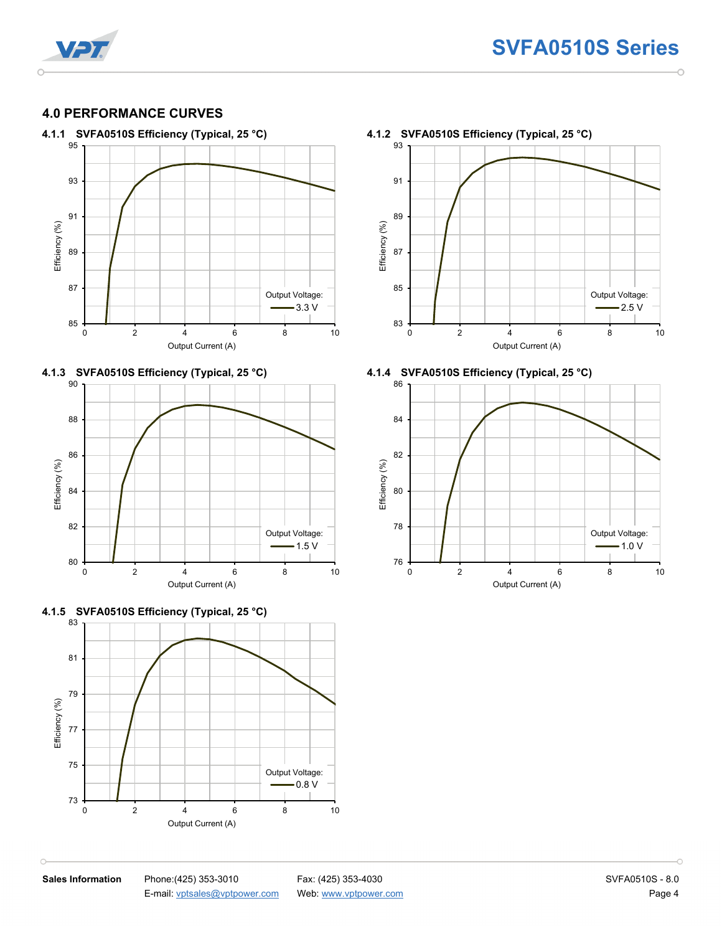

### **4.0 PERFORMANCE CURVES**











93 91 89 Efficiency (%) Efficiency (%) 87 85 Output Voltage:  $-2.5 \text{ V}$ 83 0 2 4 6 8 10 Output Current (A)





 $\cap$ 

**Sales Information** Phone:(425) 353-3010 Fax: (425) 353-4030 **Fax: (425) 353-4030** SVFA0510S - 8.0 E-mail[: vptsales@vptpower.com](mailto:vptsales@vptpower.com) Web: [www.vptpower.com](http://www.vptpower.com/) Page 4

h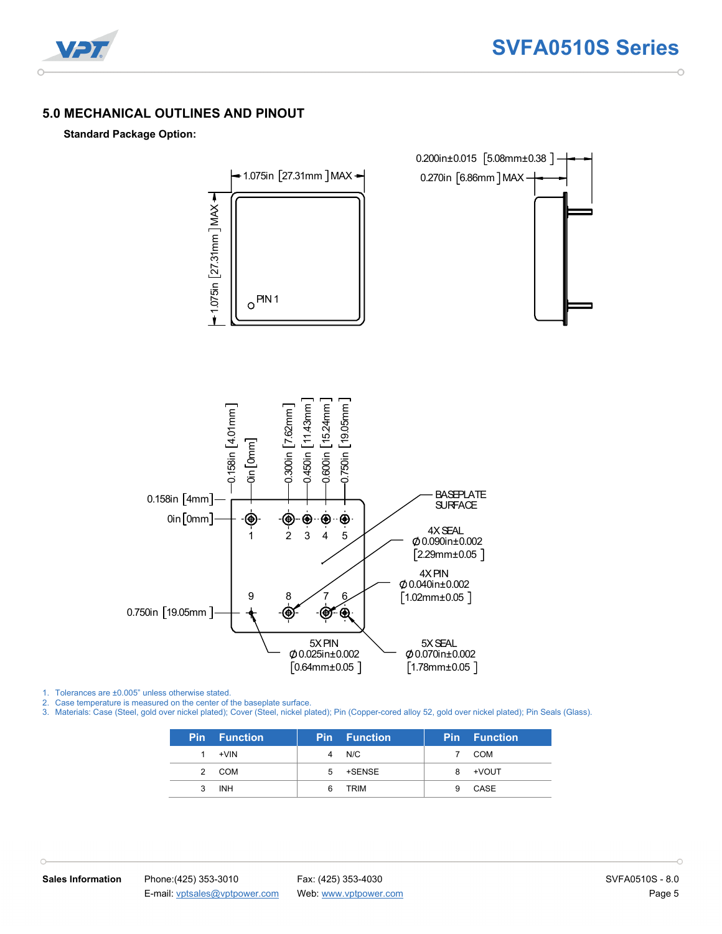

#### **5.0 MECHANICAL OUTLINES AND PINOUT**

#### **Standard Package Option:**



1. Tolerances are ±0.005" unless otherwise stated.

2. Case temperature is measured on the center of the baseplate surface.

3. Materials: Case (Steel, gold over nickel plated); Cover (Steel, nickel plated); Pin (Copper-cored alloy 52, gold over nickel plated); Pin Seals (Glass).

|               | <b>Pin</b> Function | <b>Pin</b> | <b>Function</b> | <b>Pin</b> | <b>Function</b> |
|---------------|---------------------|------------|-----------------|------------|-----------------|
|               | +VIN                | 4          | N/C             |            | COM             |
| $\mathcal{P}$ | COM                 | 5          | +SENSE          | 8          | +VOUT           |
|               | <b>INH</b>          |            | TRIM            |            | CASE            |

 $\cap$ 

ó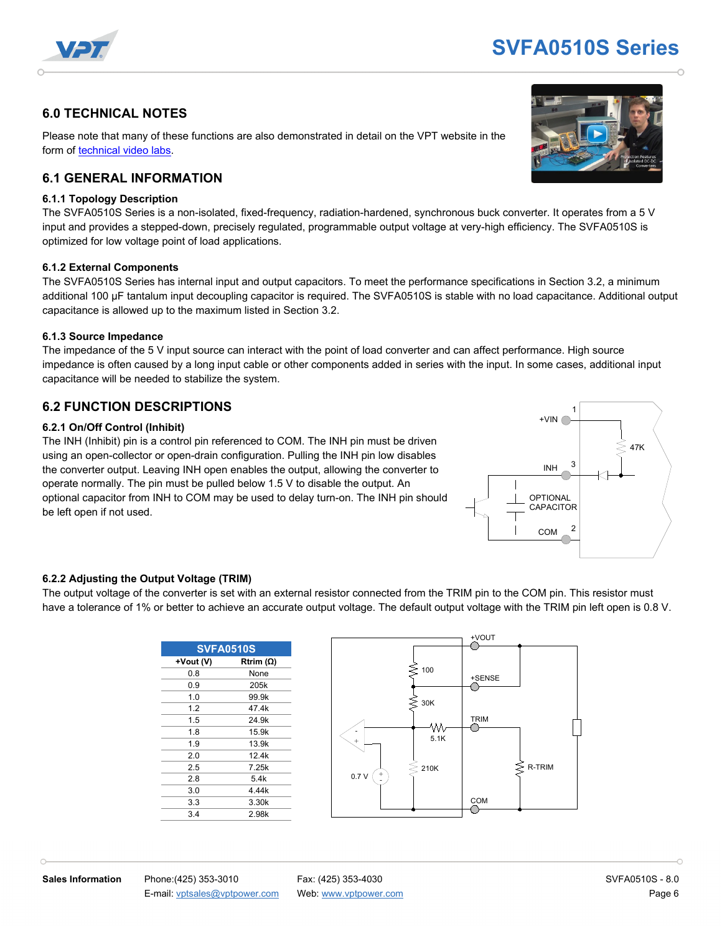

## **SVFA0510S Series**

#### **6.0 TECHNICAL NOTES**

Please note that many of these functions are also demonstrated in detail on the VPT website in the form of [technical video labs.](http://www.vptpower.com/videos)

#### **6.1 GENERAL INFORMATION**

#### **6.1.1 Topology Description**

The SVFA0510S Series is a non-isolated, fixed-frequency, radiation-hardened, synchronous buck converter. It operates from a 5 V input and provides a stepped-down, precisely regulated, programmable output voltage at very-high efficiency. The SVFA0510S is optimized for low voltage point of load applications.

#### **6.1.2 External Components**

The SVFA0510S Series has internal input and output capacitors. To meet the performance specifications in Section 3.2, a minimum additional 100 µF tantalum input decoupling capacitor is required. The SVFA0510S is stable with no load capacitance. Additional output capacitance is allowed up to the maximum listed in Section 3.2.

#### **6.1.3 Source Impedance**

The impedance of the 5 V input source can interact with the point of load converter and can affect performance. High source impedance is often caused by a long input cable or other components added in series with the input. In some cases, additional input capacitance will be needed to stabilize the system.

#### **6.2 FUNCTION DESCRIPTIONS**

#### **6.2.1 On/Off Control (Inhibit)**

The INH (Inhibit) pin is a control pin referenced to COM. The INH pin must be driven using an open-collector or open-drain configuration. Pulling the INH pin low disables the converter output. Leaving INH open enables the output, allowing the converter to operate normally. The pin must be pulled below 1.5 V to disable the output. An optional capacitor from INH to COM may be used to delay turn-on. The INH pin should be left open if not used.



#### **6.2.2 Adjusting the Output Voltage (TRIM)**

The output voltage of the converter is set with an external resistor connected from the TRIM pin to the COM pin. This resistor must have a tolerance of 1% or better to achieve an accurate output voltage. The default output voltage with the TRIM pin left open is 0.8 V.

| <b>SVFA0510S</b> |                  |  |  |  |  |
|------------------|------------------|--|--|--|--|
| +Vout (V)        | Rtrim $(\Omega)$ |  |  |  |  |
| 0.8              | None             |  |  |  |  |
| 0.9              | 205k             |  |  |  |  |
| 1.0              | 99.9k            |  |  |  |  |
| 1.2              | 47.4k            |  |  |  |  |
| 1.5              | 24.9k            |  |  |  |  |
| 1.8              | 15.9k            |  |  |  |  |
| 1.9              | 13.9k            |  |  |  |  |
| 2.0              | 12.4k            |  |  |  |  |
| 2.5              | 7.25k            |  |  |  |  |
| 2.8              | 5.4k             |  |  |  |  |
| 3.0              | 4.44k            |  |  |  |  |
| 3.3              | 3.30k            |  |  |  |  |
| 3.4              | 2.98k            |  |  |  |  |



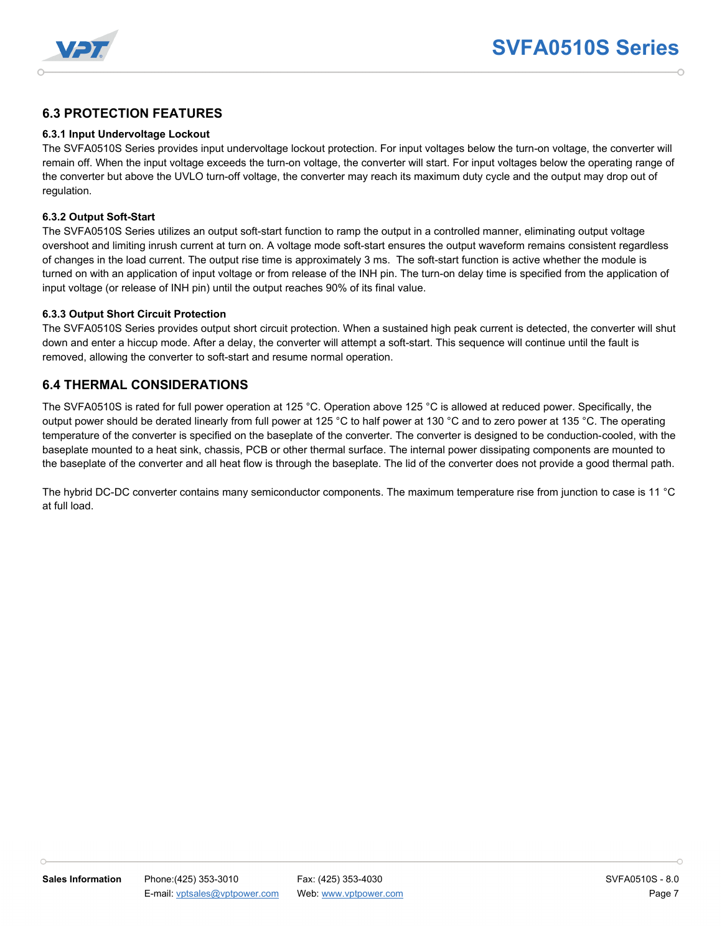

#### **6.3 PROTECTION FEATURES**

#### **6.3.1 Input Undervoltage Lockout**

The SVFA0510S Series provides input undervoltage lockout protection. For input voltages below the turn-on voltage, the converter will remain off. When the input voltage exceeds the turn-on voltage, the converter will start. For input voltages below the operating range of the converter but above the UVLO turn-off voltage, the converter may reach its maximum duty cycle and the output may drop out of regulation.

#### **6.3.2 Output Soft-Start**

The SVFA0510S Series utilizes an output soft-start function to ramp the output in a controlled manner, eliminating output voltage overshoot and limiting inrush current at turn on. A voltage mode soft-start ensures the output waveform remains consistent regardless of changes in the load current. The output rise time is approximately 3 ms. The soft-start function is active whether the module is turned on with an application of input voltage or from release of the INH pin. The turn-on delay time is specified from the application of input voltage (or release of INH pin) until the output reaches 90% of its final value.

#### **6.3.3 Output Short Circuit Protection**

The SVFA0510S Series provides output short circuit protection. When a sustained high peak current is detected, the converter will shut down and enter a hiccup mode. After a delay, the converter will attempt a soft-start. This sequence will continue until the fault is removed, allowing the converter to soft-start and resume normal operation.

#### **6.4 THERMAL CONSIDERATIONS**

The SVFA0510S is rated for full power operation at 125 °C. Operation above 125 °C is allowed at reduced power. Specifically, the output power should be derated linearly from full power at 125 °C to half power at 130 °C and to zero power at 135 °C. The operating temperature of the converter is specified on the baseplate of the converter. The converter is designed to be conduction-cooled, with the baseplate mounted to a heat sink, chassis, PCB or other thermal surface. The internal power dissipating components are mounted to the baseplate of the converter and all heat flow is through the baseplate. The lid of the converter does not provide a good thermal path.

The hybrid DC-DC converter contains many semiconductor components. The maximum temperature rise from junction to case is 11 °C at full load.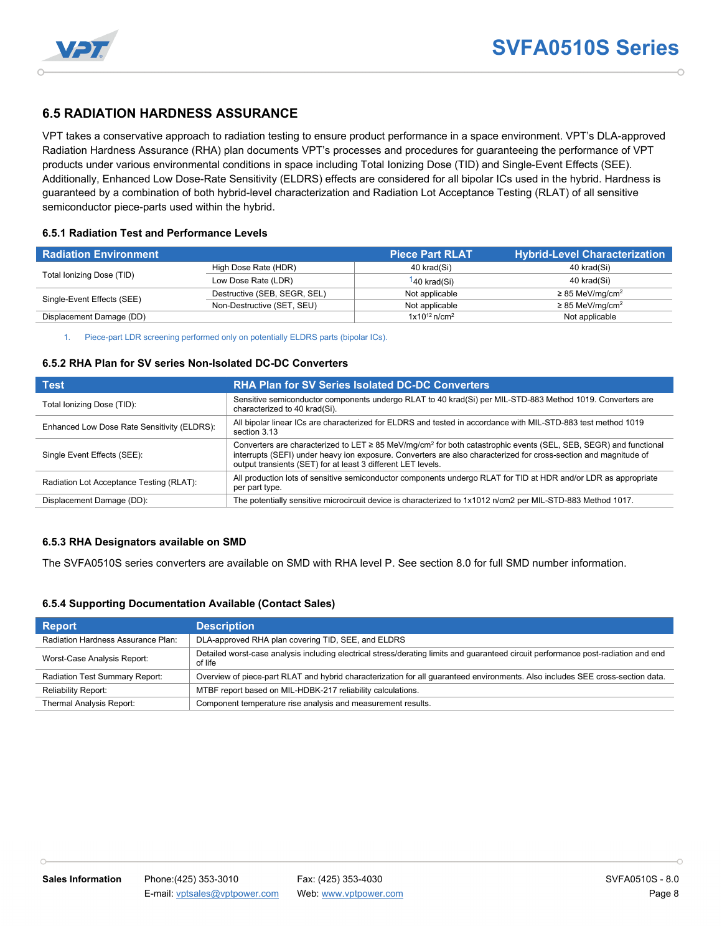



#### **6.5 RADIATION HARDNESS ASSURANCE**

VPT takes a conservative approach to radiation testing to ensure product performance in a space environment. VPT's DLA-approved Radiation Hardness Assurance (RHA) plan documents VPT's processes and procedures for guaranteeing the performance of VPT products under various environmental conditions in space including Total Ionizing Dose (TID) and Single-Event Effects (SEE). Additionally, Enhanced Low Dose-Rate Sensitivity (ELDRS) effects are considered for all bipolar ICs used in the hybrid. Hardness is guaranteed by a combination of both hybrid-level characterization and Radiation Lot Acceptance Testing (RLAT) of all sensitive semiconductor piece-parts used within the hybrid.

#### **6.5.1 Radiation Test and Performance Levels**

| <b>Radiation Environment</b> |                              | <b>Piece Part RLAT</b>        | <b>Hybrid-Level Characterization</b> |
|------------------------------|------------------------------|-------------------------------|--------------------------------------|
|                              | High Dose Rate (HDR)         | 40 krad(Si)                   | 40 krad(Si)                          |
| Total lonizing Dose (TID)    | Low Dose Rate (LDR)          | 140 krad(Si)                  | 40 krad(Si)                          |
| Single-Event Effects (SEE)   | Destructive (SEB, SEGR, SEL) | Not applicable                | $\geq$ 85 MeV/mg/cm <sup>2</sup>     |
|                              | Non-Destructive (SET, SEU)   | Not applicable                | $\geq$ 85 MeV/mg/cm <sup>2</sup>     |
| Displacement Damage (DD)     |                              | $1x10^{12}$ n/cm <sup>2</sup> | Not applicable                       |

1. Piece-part LDR screening performed only on potentially ELDRS parts (bipolar ICs).

#### **6.5.2 RHA Plan for SV series Non-Isolated DC-DC Converters**

| <b>Test</b>                                 | <b>RHA Plan for SV Series Isolated DC-DC Converters</b>                                                                                                                                                                                                                                                          |
|---------------------------------------------|------------------------------------------------------------------------------------------------------------------------------------------------------------------------------------------------------------------------------------------------------------------------------------------------------------------|
| Total Ionizing Dose (TID):                  | Sensitive semiconductor components undergo RLAT to 40 krad(Si) per MIL-STD-883 Method 1019. Converters are<br>characterized to 40 krad(Si).                                                                                                                                                                      |
| Enhanced Low Dose Rate Sensitivity (ELDRS): | All bipolar linear ICs are characterized for ELDRS and tested in accordance with MIL-STD-883 test method 1019<br>section 3.13                                                                                                                                                                                    |
| Single Event Effects (SEE):                 | Converters are characterized to LET ≥ 85 MeV/mg/cm <sup>2</sup> for both catastrophic events (SEL, SEB, SEGR) and functional<br>interrupts (SEFI) under heavy ion exposure. Converters are also characterized for cross-section and magnitude of<br>output transients (SET) for at least 3 different LET levels. |
| Radiation Lot Acceptance Testing (RLAT):    | All production lots of sensitive semiconductor components undergo RLAT for TID at HDR and/or LDR as appropriate<br>per part type.                                                                                                                                                                                |
| Displacement Damage (DD):                   | The potentially sensitive microcircuit device is characterized to 1x1012 n/cm2 per MIL-STD-883 Method 1017.                                                                                                                                                                                                      |

#### **6.5.3 RHA Designators available on SMD**

The SVFA0510S series converters are available on SMD with RHA level P. See section 8.0 for full SMD number information.

#### **6.5.4 Supporting Documentation Available (Contact Sales)**

| <b>Report</b>                      | <b>Description</b>                                                                                                                            |
|------------------------------------|-----------------------------------------------------------------------------------------------------------------------------------------------|
| Radiation Hardness Assurance Plan: | DLA-approved RHA plan covering TID, SEE, and ELDRS                                                                                            |
| Worst-Case Analysis Report:        | Detailed worst-case analysis including electrical stress/derating limits and quaranteed circuit performance post-radiation and end<br>of life |
| Radiation Test Summary Report:     | Overview of piece-part RLAT and hybrid characterization for all quaranteed environments. Also includes SEE cross-section data.                |
| <b>Reliability Report:</b>         | MTBF report based on MIL-HDBK-217 reliability calculations.                                                                                   |
| Thermal Analysis Report:           | Component temperature rise analysis and measurement results.                                                                                  |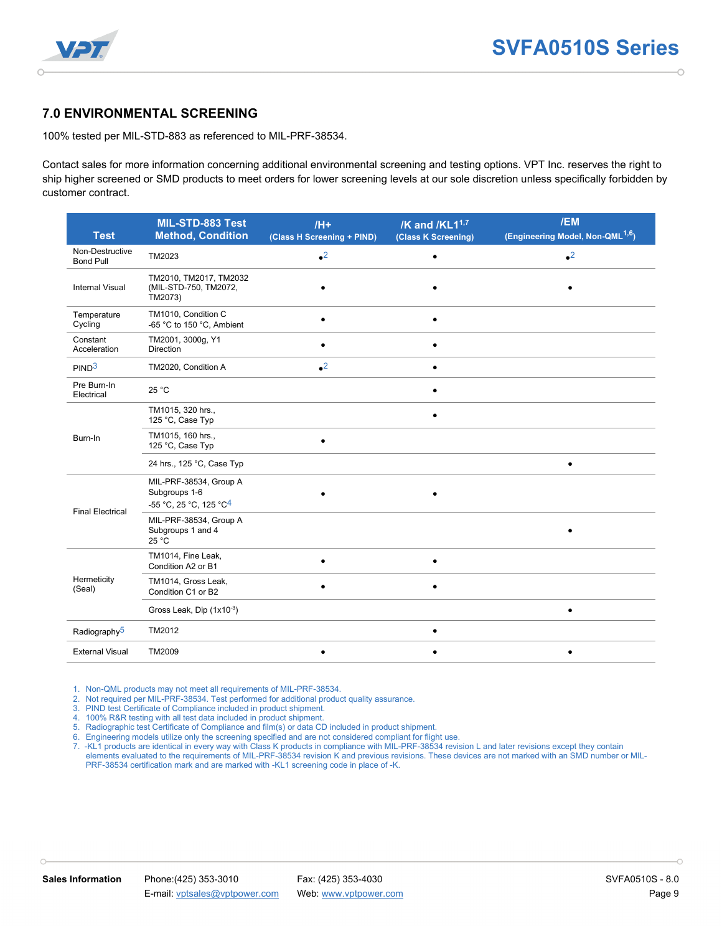

#### **7.0 ENVIRONMENTAL SCREENING**

100% tested per MIL-STD-883 as referenced to MIL-PRF-38534.

Contact sales for more information concerning additional environmental screening and testing options. VPT Inc. reserves the right to ship higher screened or SMD products to meet orders for lower screening levels at our sole discretion unless specifically forbidden by customer contract.

| <b>Test</b>                         | MIL-STD-883 Test<br><b>Method, Condition</b>                                  | $/H+$<br>(Class H Screening + PIND) | /K and /KL1 <sup>1,7</sup><br>(Class K Screening) | /EM<br>(Engineering Model, Non-QML <sup>1,6</sup> ) |
|-------------------------------------|-------------------------------------------------------------------------------|-------------------------------------|---------------------------------------------------|-----------------------------------------------------|
| Non-Destructive<br><b>Bond Pull</b> | TM2023                                                                        | $\bullet^2$                         |                                                   | $\bullet^2$                                         |
| <b>Internal Visual</b>              | TM2010, TM2017, TM2032<br>(MIL-STD-750, TM2072,<br>TM2073)                    |                                     |                                                   |                                                     |
| Temperature<br>Cycling              | TM1010, Condition C<br>-65 °C to 150 °C, Ambient                              |                                     |                                                   |                                                     |
| Constant<br>Acceleration            | TM2001, 3000g, Y1<br><b>Direction</b>                                         | $\bullet$                           | ٠                                                 |                                                     |
| PIND <sup>3</sup>                   | TM2020, Condition A                                                           | $\bullet^2$                         |                                                   |                                                     |
| Pre Burn-In<br>Electrical           | 25 °C                                                                         |                                     |                                                   |                                                     |
|                                     | TM1015, 320 hrs.,<br>125 °C, Case Typ                                         |                                     |                                                   |                                                     |
| Burn-In                             | TM1015, 160 hrs.,<br>125 °C, Case Typ                                         | $\bullet$                           |                                                   |                                                     |
|                                     | 24 hrs., 125 °C, Case Typ                                                     |                                     |                                                   | $\bullet$                                           |
| <b>Final Electrical</b>             | MIL-PRF-38534, Group A<br>Subgroups 1-6<br>-55 °C, 25 °C, 125 °C <sup>4</sup> |                                     |                                                   |                                                     |
|                                     | MIL-PRF-38534, Group A<br>Subgroups 1 and 4<br>25 °C                          |                                     |                                                   |                                                     |
|                                     | TM1014, Fine Leak,<br>Condition A2 or B1                                      | $\bullet$                           | $\bullet$                                         |                                                     |
| Hermeticity<br>(Seal)               | TM1014, Gross Leak,<br>Condition C1 or B2                                     |                                     |                                                   |                                                     |
|                                     | Gross Leak, Dip (1x10-3)                                                      |                                     |                                                   | $\bullet$                                           |
| Radiography <sup>5</sup>            | TM2012                                                                        |                                     |                                                   |                                                     |
| <b>External Visual</b>              | TM2009                                                                        | $\bullet$                           |                                                   |                                                     |

1. Non-QML products may not meet all requirements of MIL-PRF-38534.

2. Not required per MIL-PRF-38534. Test performed for additional product quality assurance.

3. PIND test Certificate of Compliance included in product shipment.

4. 100% R&R testing with all test data included in product shipment.

5. Radiographic test Certificate of Compliance and film(s) or data CD included in product shipment.

6. Engineering models utilize only the screening specified and are not considered compliant for flight use.

7. -KL1 products are identical in every way with Class K products in compliance with MIL-PRF-38534 revision L and later revisions except they contain elements evaluated to the requirements of MIL-PRF-38534 revision K and previous revisions. These devices are not marked with an SMD number or MIL-PRF-38534 certification mark and are marked with -KL1 screening code in place of -K.

 $\cap$ 

h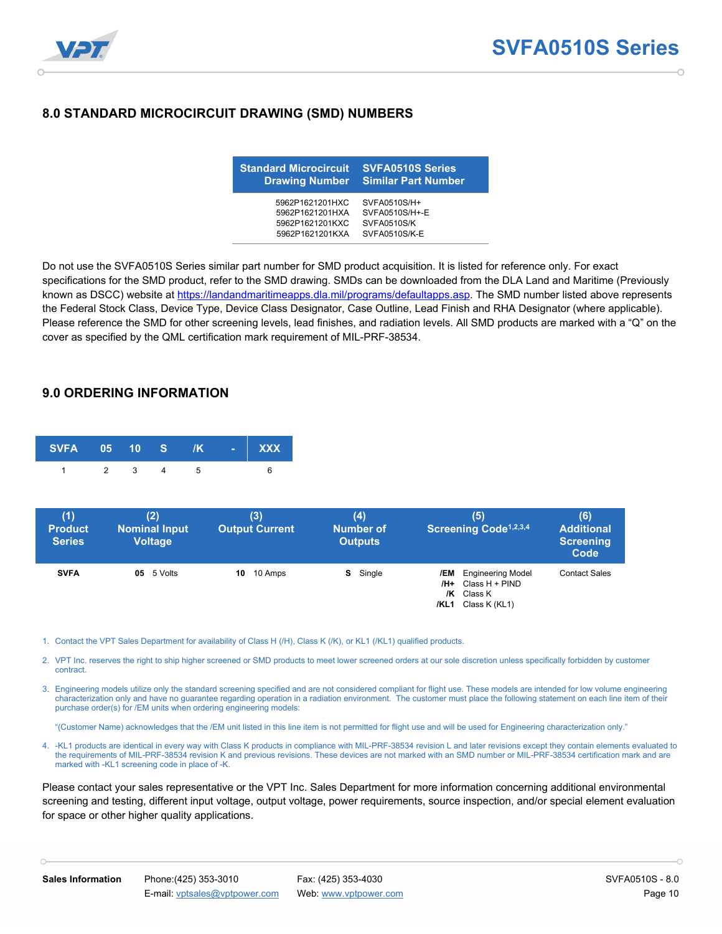

#### **8.0 STANDARD MICROCIRCUIT DRAWING (SMD) NUMBERS**

| <b>Standard Microcircuit</b> | <b>SVFA0510S Series</b>    |
|------------------------------|----------------------------|
| <b>Drawing Number</b>        | <b>Similar Part Number</b> |
| 5962P1621201HXC              | SVFA0510S/H+               |
| 5962P1621201HXA              | SVFA0510S/H+-E             |
| 5962P1621201KXC              | SVFA0510S/K                |
| 5962P1621201KXA              | SVFA0510S/K-E              |

Do not use the SVFA0510S Series similar part number for SMD product acquisition. It is listed for reference only. For exact specifications for the SMD product, refer to the SMD drawing. SMDs can be downloaded from the DLA Land and Maritime (Previously known as DSCC) website at [https://landandmaritimeapps.dla.mil/programs/defaultapps.asp.](https://landandmaritimeapps.dla.mil/programs/defaultapps.asp) The SMD number listed above represents the Federal Stock Class, Device Type, Device Class Designator, Case Outline, Lead Finish and RHA Designator (where applicable). Please reference the SMD for other screening levels, lead finishes, and radiation levels. All SMD products are marked with a "Q" on the cover as specified by the QML certification mark requirement of MIL-PRF-38534.

#### **9.0 ORDERING INFORMATION**

| SVFA 05 10 S /K - XXX |           |  |  |  |
|-----------------------|-----------|--|--|--|
|                       | 1 2 3 4 5 |  |  |  |

| (1)<br><b>Product</b><br><b>Series</b> | (2)<br><b>Nominal Input</b><br><b>Voltage</b> | (3)<br><b>Output Current</b> | (4)<br><b>Number of</b><br><b>Outputs</b> | (5)<br>Screening Code <sup>1,2,3,4</sup>                                               | (6)<br><b>Additional</b><br><b>Screening</b><br>Code |
|----------------------------------------|-----------------------------------------------|------------------------------|-------------------------------------------|----------------------------------------------------------------------------------------|------------------------------------------------------|
| <b>SVFA</b>                            | $05 \quad 5 \text{ Volts}$                    | <b>10</b> 10 Amps            | <b>S</b> Single                           | /EM Engineering Model<br>$/H+$ Class $H+PIND$<br>$/K$ Class K<br>/KL1<br>Class K (KL1) | <b>Contact Sales</b>                                 |

- 1. Contact the VPT Sales Department for availability of Class H (/H), Class K (/K), or KL1 (/KL1) qualified products.
- 2. VPT Inc. reserves the right to ship higher screened or SMD products to meet lower screened orders at our sole discretion unless specifically forbidden by customer contract.
- 3. Engineering models utilize only the standard screening specified and are not considered compliant for flight use. These models are intended for low volume engineering characterization only and have no guarantee regarding operation in a radiation environment. The customer must place the following statement on each line item of their purchase order(s) for /EM units when ordering engineering models:

"(Customer Name) acknowledges that the /EM unit listed in this line item is not permitted for flight use and will be used for Engineering characterization only."

4. -KL1 products are identical in every way with Class K products in compliance with MIL-PRF-38534 revision L and later revisions except they contain elements evaluated to the requirements of MIL-PRF-38534 revision K and previous revisions. These devices are not marked with an SMD number or MIL-PRF-38534 certification mark and are marked with -KL1 screening code in place of -K.

Please contact your sales representative or the VPT Inc. Sales Department for more information concerning additional environmental screening and testing, different input voltage, output voltage, power requirements, source inspection, and/or special element evaluation for space or other higher quality applications.